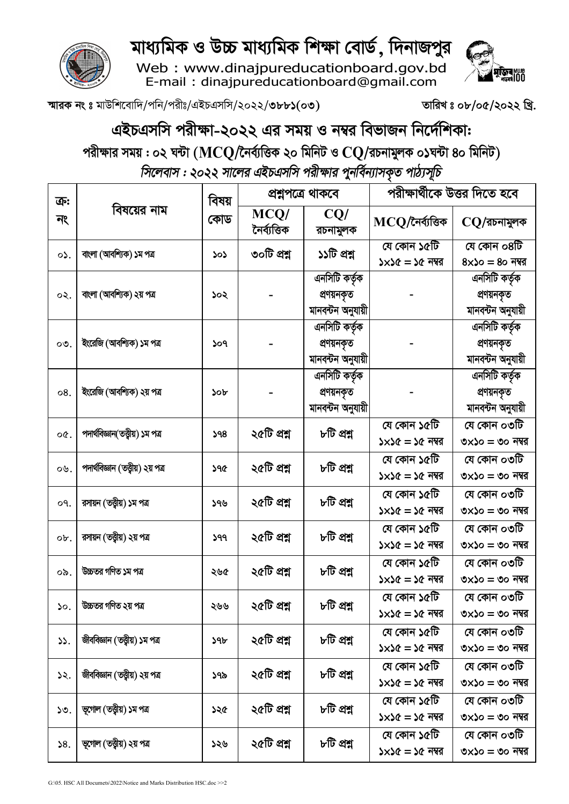

Web: www.dinajpureducationboard.gov.bd<br>E-mail: dinajpureducationboard@gmail.com





স্মারক নং ঃ মাউশিবোদি/পনি/পরীঃ/এইচএসসি/২০২২/৩৮৮১(০৩)

তারিখঃ ০৮/০৫/২০২২ খ্রি.

## এইচএসসি পরীক্ষা-২০২২ এর সময় ও নম্বর বিভাজন নির্দেশিকা:

পরীক্ষার সময় : ০২ ঘন্টা ( $\bf{MC} \bf{Q} /$ নৈর্ব্যত্তিক ২০ মিনিট ও  $\bf{C} \bf{Q} /$ রচনামুলক ০১ঘন্টা ৪০ মিনিট) সিলেবাস : ২০২২ সালের এইচএসসি পরীক্ষার পুনর্বিন্যাসকৃত পাঠ্যসূচি

| ক:<br>নং  | বিষয়ের নাম                        | বিষয় | প্ৰশ্নপত্ৰে থাকবে    |                                                  | পরীক্ষার্থীকে উত্তর দিতে হবে            |                                                  |
|-----------|------------------------------------|-------|----------------------|--------------------------------------------------|-----------------------------------------|--------------------------------------------------|
|           |                                    | কোড   | MCQ/<br>নৈৰ্ব্যত্তিক | CQ/<br>রচনামুলক                                  | $MCQ$ /নৈৰ্ব্যত্তিক                     | $CQ$ /রচনামুলক                                   |
| $\circ$ . | বাংলা (আবশ্যিক) ১ম পত্র            | ১০১   | ৩০টি প্ৰশ্ন          | ১১টি প্রশ্ন                                      | যে কোন ১৫টি<br>$5x56 = 56$ নম্বর        | যে কোন ০৪টি<br>$8\times$ ১০ = ৪০ নম্বর           |
| ০২.       | বাংলা (আবশ্যিক) ২য় পত্র           | ১০২   |                      | এনসিটি কর্তৃক<br>প্ৰণয়নকৃত<br>মানবন্টন অনুযায়ী |                                         | এনসিটি কর্তৃক<br>প্ৰণয়নকৃত<br>মানবন্টন অনুযায়ী |
| ೦೨.       | ইংরেজি (আবশ্যিক) ১ম পত্র           | ১০৭   |                      | এনসিটি কর্তৃক<br>প্রণয়নকৃত<br>মানবন্টন অনুযায়ী |                                         | এনসিটি কর্তৃক<br>প্ৰণয়নকৃত<br>মানবন্টন অনুযায়ী |
| 08.       | ইংরেজি (আবশ্যিক) ২য় পত্র          | ১০৮   |                      | এনসিটি কর্তৃক<br>প্ৰণয়নকৃত<br>মানবন্টন অনুযায়ী |                                         | এনসিটি কর্তৃক<br>প্ৰণয়নকৃত<br>মানবন্টন অনুযায়ী |
| o¢.       | পদার্থবিজ্ঞান(তত্ত্বীয়) ১ম পত্র   | 598   | ২৫টি প্রশ্ন          | ৮টি প্রশ্ন                                       | যে কোন ১৫টি<br>$5x56 = 56$ নম্বর        | যে কোন ০৩টি<br>৩ $\times$ ১০ = ৩০ নম্বর          |
| ০৬.       | পদার্থবিজ্ঞান (তত্ত্বীয়) ২য় পত্র | ১৭৫   | ২৫টি প্রশ্ন          | ৮টি প্রশ্ন                                       | যে কোন ১৫টি<br>$5 \times 56 = 56$ নম্বর | যে কোন ০৩টি<br>৩ $\times$ ১০ = ৩০ নম্বর          |
| o٩.       | রসায়ন (তত্ত্বীয়) ১ম পত্র         | ১৭৬   | ২৫টি প্রশ্ন          | ৮টি প্রশ্ন                                       | যে কোন ১৫টি<br>$5 \times 56 = 56$ নম্বর | যে কোন ০৩টি<br>৩ $\times$ ১০ = ৩০ নম্বর          |
| ob.       | রসায়ন (তত্ত্বীয়) ২য় পত্র        | ১৭৭   | ২৫টি প্রশ্ন          | ৮টি প্রশ্ন                                       | যে কোন ১৫টি<br>$5 \times 56 = 56$ নম্বর | যে কোন ০৩টি<br>৩ $\times$ ১০ = ৩০ নম্বর          |
| ০৯.       | উচ্চতর গণিত ১ম পত্র                | ২৬৫   | ২৫টি প্রশ্ন          | ৮টি প্রশ্ন                                       | যে কোন ১৫টি<br>$5 \times 56 = 56$ নম্বর | যে কোন ০৩টি<br>৩ $\times$ ১০ = ৩০ নম্বর          |
| ১০.       | উচ্চতর গণিত ২য় পত্র               | ২৬৬   | ২৫টি প্রশ্ন          | ৮টি প্রশ্ন                                       | যে কোন ১৫টি<br>$5 \times 56 = 56$ নম্বর | যে কোন ০৩টি<br>৩ $\times$ ১০ = ৩০ নম্বর          |
| ১১.       | জীববিজ্ঞান (তত্ত্বীয়) ১ম পত্ৰ     | ১৭৮   | ২৫টি প্রশ্ন          | ৮টি প্রশ্ন                                       | যে কোন ১৫টি<br>$5 \times 56 = 56$ নম্বর | যে কোন ০৩টি<br>৩ $\times$ ১০ = ৩০ নম্বর          |
| ১২.       | জীববিজ্ঞান (তত্ত্বীয়) ২য় পত্ৰ    | ১৭৯   | ২৫টি প্রশ্ন          | ৮টি প্রশ্ন                                       | যে কোন ১৫টি<br>$5 \times 56 = 56$ নম্বর | যে কোন ০৩টি<br>৩ $\times$ ১০ = ৩০ নম্বর          |
| ১৩.       | ভূগোল (তত্ত্বীয়) ১ম পত্ৰ          | ১২৫   | ২৫টি প্রশ্ন          | ৮টি প্রশ্ন                                       | যে কোন ১৫টি<br>$5 \times 56 = 56$ নম্বর | যে কোন ০৩টি<br>৩ $\times$ ১০ = ৩০ নম্বর          |
| 58.       | ভূগোল (তত্ত্বীয়) ২য় পত্ৰ         | ১২৬   | ২৫টি প্রশ্ন          | ৮টি প্রশ্ন                                       | যে কোন ১৫টি<br>$5 \times 56 = 56$ নম্বর | যে কোন ০৩টি<br>৩ $\times$ ১০ = ৩০ নম্বর          |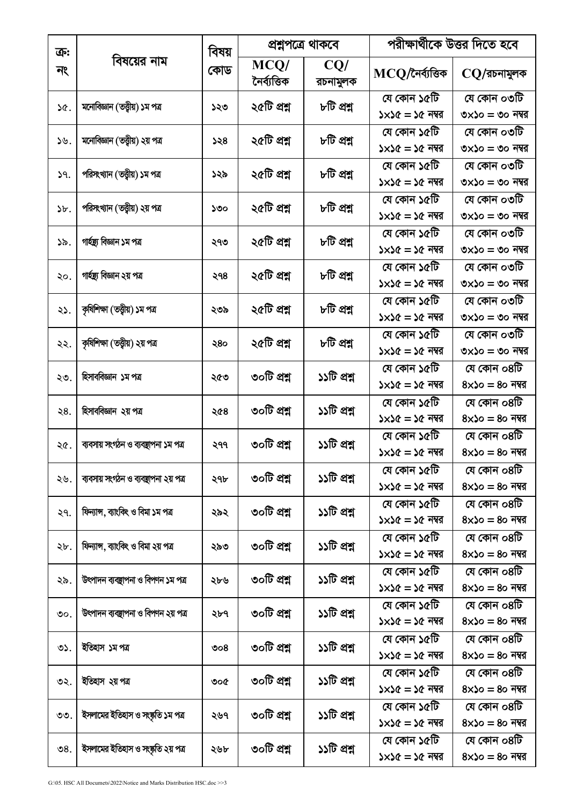| ক্র:            | বিষয়ের নাম                           | বিষয়<br>কোড | প্ৰশ্নপত্ৰে থাকবে    |                 | পরীক্ষার্থীকে উত্তর দিতে হবে            |                                         |
|-----------------|---------------------------------------|--------------|----------------------|-----------------|-----------------------------------------|-----------------------------------------|
| নং              |                                       |              | MCQ/<br>নৈৰ্ব্যত্তিক | CQ/<br>রচনামুলক | $MCQ$ /নৈৰ্ব্যত্তিক                     | $\rm CO/$ রচনামুলক                      |
| ነ৫.             | মনোবিজ্ঞান (তত্ত্বীয়) ১ম পত্ৰ        | ১২৩          | ২৫টি প্রশ্ন          | ৮টি প্রশ্ন      | যে কোন ১৫টি<br>$5x56 = 56$ নম্বর        | যে কোন ০৩টি<br>৩ $\times$ ১০ = ৩০ নম্বর |
| ১৬.             | মনোবিজ্ঞান (তত্ত্বীয়) ২য় পত্ৰ       | 358          | ২৫টি প্রশ্ন          | ৮টি প্রশ্ন      | যে কোন ১৫টি<br>$5x56 = 56$ নম্বর        | যে কোন ০৩টি<br>৩ $\times$ ১০ = ৩০ নম্বর |
| 9.              | পরিসংখ্যান (তত্ত্বীয়) ১ম পত্র        | ১২৯          | ২৫টি প্রশ্ন          | ৮টি প্রশ্ন      | যে কোন ১৫টি<br>$5 \times 56 = 56$ নম্বর | যে কোন ০৩টি<br>৩ $\times$ ১০ = ৩০ নম্বর |
| $\delta$ .      | পরিসংখ্যান (তত্ত্বীয়) ২য় পত্র       | ১৩০          | ২৫টি প্রশ্ন          | ৮টি প্রশ্ন      | যে কোন ১৫টি<br>$5 \times 56 = 56$ নম্বর | যে কোন ০৩টি<br>৩ $\times$ ১০ = ৩০ নম্বর |
| ১৯.             | গাৰ্হদ্ৰ্য বিজ্ঞান ১ম পত্ৰ            | ২৭৩          | ২৫টি প্রশ্ন          | ৮টি প্রশ্ন      | যে কোন ১৫টি<br>$5 \times 56 = 56$ নম্বর | যে কোন ০৩টি<br>৩ $\times$ ১০ = ৩০ নম্বর |
| ২০.             | গাৰ্হস্তু বিজ্ঞান ২য় পত্ৰ            | ২৭৪          | ২৫টি প্রশ্ন          | ৮টি প্রশ্ন      | যে কোন ১৫টি<br>$5 \times 56 = 56$ নম্বর | যে কোন ০৩টি<br>৩ $\times$ ১০ = ৩০ নম্বর |
| ২১.             | কৃষিশিক্ষা (তত্ত্বীয়) ১ম পত্ৰ        | ২৩৯          | ২৫টি প্রশ্ন          | ৮টি প্রশ্ন      | যে কোন ১৫টি<br>$5 \times 56 = 56$ নম্বর | যে কোন ০৩টি<br>৩ $\times$ ১০ = ৩০ নম্বর |
| ২২.             | কৃষিশিক্ষা (তত্ত্বীয়) ২য় পত্ৰ       | ২৪০          | ২৫টি প্রশ্ন          | ৮টি প্রশ্ন      | যে কোন ১৫টি<br>$5 \times 56 = 56$ নম্বর | যে কোন ০৩টি<br>৩ $\times$ ১০ = ৩০ নম্বর |
| ২৩.             | হিসাববিজ্ঞান ১ম পত্র                  | ২৫৩          | ৩০টি প্ৰশ্ন          | ১১টি প্রশ্ন     | যে কোন ১৫টি<br>$5 \times 56 = 56$ নম্বর | যে কোন ০৪টি<br>$8\times$ ১০ = ৪০ নম্বর  |
| ২8.             | হিসাববিজ্ঞান ২য় পত্র                 | ২৫৪          | ৩০টি প্রশ্ন          | ১১টি প্রশ্ন     | যে কোন ১৫টি<br>$5 \times 56 = 56$ নম্বর | যে কোন ০৪টি<br>$8\times$ ১০ = ৪০ নম্বর  |
| ২৫.             | ব্যবসায় সংগঠন ও ব্যবস্থাপনা ১ম পত্র  | ২৭৭          | ৩০টি প্রশ্ন          | ১১টি প্রশ্ন     | যে কোন ১৫টি<br>$5 \times 56 = 56$ নম্বর | যে কোন ০৪টি<br>$8\times$ ১০ = ৪০ নম্বর  |
| ২৬.             | ব্যবসায় সংগঠন ও ব্যবস্থাপনা ২য় পত্র | ২৭৮          | ৩০টি প্ৰশ্ন          | ১১টি প্রশ্ন     | যে কোন ১৫টি<br>$5 \times 56 = 56$ নম্বর | যে কোন ০৪টি<br>$8\times$ ১০ = ৪০ নম্বর  |
| ২৭.             | ফিন্যান্স, ব্যাংকিং ও বিমা ১ম পত্র    | ২৯২          | ৩০টি প্রশ্ন          | ১১টি প্রশ্ন     | যে কোন ১৫টি<br>$5 \times 56 = 56$ নম্বর | যে কোন ০৪টি<br>$8\times$ ১০ = ৪০ নম্বর  |
| ২৮.             | ফিন্যান্স, ব্যাংকিং ও বিমা ২য় পত্র   | ২৯৩          | ৩০টি প্রশ্ন          | ১১টি প্রশ্ন     | যে কোন ১৫টি<br>$5x56 = 56$ নম্বর        | যে কোন ০৪টি<br>$8\times$ ১০ = ৪০ নম্বর  |
| ২৯.             | উৎপাদন ব্যবস্থাপনা ও বিপণন ১ম পত্ৰ    | ২৮৬          | ৩০টি প্রশ্ন          | ১১টি প্রশ্ন     | যে কোন ১৫টি<br>$5 \times 56 = 56$ নম্বর | যে কোন ০৪টি<br>$8\times$ ১০ = ৪০ নম্বর  |
| $\mathcal{O}$ . | উৎপাদন ব্যবস্থাপনা ও বিপণন ২য় পত্ৰ   | ২৮৭          | ৩০টি প্রশ্ন          | ১১টি প্রশ্ন     | যে কোন ১৫টি<br>$5 \times 56 = 56$ নম্বর | যে কোন ০৪টি<br>$8\times$ ১০ = ৪০ নম্বর  |
| ৩১.             | ইতিহাস ১ম পত্র                        | ಿಂ8          | ৩০টি প্রশ্ন          | ১১টি প্রশ্ন     | যে কোন ১৫টি<br>$5 \times 56 = 56$ নম্বর | যে কোন ০৪টি<br>$8\times$ ১০ = ৪০ নম্বর  |
| ৩২.             | ইতিহাস ২য়পএত                         | ৩০৫          | ৩০টি প্রশ্ন          | ১১টি প্রশ্ন     | যে কোন ১৫টি<br>$5 \times 56 = 56$ নম্বর | যে কোন ০৪টি<br>$8\times$ ১০ = ৪০ নম্বর  |
| ৩৩.             | ইসলামের ইতিহাস ও সংষ্কৃতি ১ম পত্র     | ২৬৭          | ৩০টি প্রশ্ন          | ১১টি প্রশ্ন     | যে কোন ১৫টি<br>$5 \times 56 = 56$ নম্বর | যে কোন ০৪টি<br>$8\times$ ১০ = ৪০ নম্বর  |
| ৩৪.             | ইসলামের ইতিহাস ও সংষ্কৃতি ২য় পত্র    | ২৬৮          | ৩০টি প্রশ্ন          | ১১টি প্রশ্ন     | যে কোন ১৫টি<br>$5 \times 56 = 56$ নম্বর | যে কোন ০৪টি<br>$8\times$ ১০ = ৪০ নম্বর  |
|                 |                                       |              |                      |                 |                                         |                                         |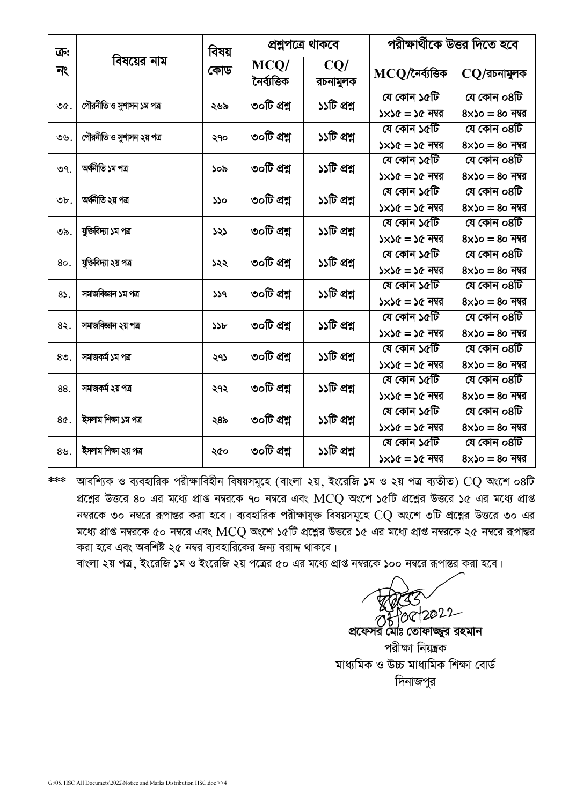| ক্র:            | বিষয়ের নাম               | বিষয়<br>কোড | প্ৰশ্নপত্ৰে থাকবে    |                 | পরীক্ষার্থীকে উত্তর দিতে হবে            |                                        |
|-----------------|---------------------------|--------------|----------------------|-----------------|-----------------------------------------|----------------------------------------|
| নং              |                           |              | MCQ/<br>নৈৰ্ব্যত্তিক | CQ/<br>রচনামুলক | $MCQ$ /নৈৰ্ব্যত্তিক                     | $CO$ /রচনামুলক                         |
| ৩৫.             | পৌরনীতি ও সুশাসন ১ম পত্র  | ২৬৯          | ৩০টি প্ৰশ্ন          | ১১টি প্রশ্ন     | যে কোন ১৫টি<br>$5x56 = 56$ নম্বর        | যে কোন ০৪টি<br>$8\times$ ১০ = 8০ নম্বর |
| ৩৬.             | পৌরনীতি ও সুশাসন ২য় পত্র | ২৭০          | ৩০টি প্ৰশ্ন          | ১১টি প্রশ্ন     | যে কোন ১৫টি<br>$5x56 = 56$ নম্বর        | যে কোন ০৪টি<br>$8x$ ১০ = ৪০ নম্বর      |
| ৩৭.             | অৰ্থনীতি ১ম পত্ৰ          | ১০৯          | ৩০টি প্রশ্ন          | ১১টি প্রশ্ন     | যে কোন ১৫টি<br>$5x56 = 56$ নম্বর        | যে কোন ০৪টি<br>$8\times$ ১০ = 8০ নম্বর |
| $\mathfrak{b}.$ | অৰ্থনীতি ২য় পত্ৰ         | ১১০          | ৩০টি প্ৰশ্ন          | ১১টি প্রশ্ন     | যে কোন ১৫টি<br>$5x56 = 56$ নম্বর        | যে কোন ০৪টি<br>$8\times$ ১০ = 8০ নম্বর |
| ৩৯.             | যুক্তিবিদ্যা ১ম পত্র      | ১২১          | ৩০টি প্ৰশ্ন          | ১১টি প্রশ্ন     | যে কোন ১৫টি<br>$5x56 = 56$ নম্বর        | যে কোন ০৪টি<br>$8x$ ১০ = ৪০ নম্বর      |
| 80.             | যুক্তিবিদ্যা ২য় পত্ৰ     | ১২২          | ৩০টি প্ৰশ্ন          | ১১টি প্রশ্ন     | যে কোন ১৫টি<br>$5 \times 56 = 56$ নম্বর | যে কোন ০৪টি<br>$8\times$ ১০ = ৪০ নম্বর |
| 85.             | সমাজবিজ্ঞান ১ম পত্র       | 339          | ৩০টি প্ৰশ্ন          | ১১টি প্রশ্ন     | যে কোন ১৫টি<br>$5x56 = 56$ নম্বর        | যে কোন ০৪টি<br>$8\times$ ১০ = ৪০ নম্বর |
| 85.             | সমাজবিজ্ঞান ২য় পত্ৰ      | ১১৮          | ৩০টি প্ৰশ্ন          | ১১টি প্রশ্ন     | যে কোন ১৫টি<br>$5x56 = 56$ নম্বর        | যে কোন ০৪টি<br>$8\times$ ১০ = 8০ নম্বর |
| $80$ .          | সমাজকৰ্ম ১ম পত্ৰ          | ২৭১          | ৩০টি প্ৰশ্ন          | ১১টি প্রশ্ন     | যে কোন ১৫টি<br>$5x56 = 56$ নম্বর        | যে কোন ০৪টি<br>$8\times$ ১০ = 8০ নম্বর |
| 88.             | সমাজকৰ্ম ২য় পত্ৰ         | ২৭২          | ৩০টি প্ৰশ্ন          | ১১টি প্রশ্ন     | যে কোন ১৫টি<br>$5x56 = 56$ নম্বর        | যে কোন ০৪টি<br>$8\times$ ১০ = ৪০ নম্বর |
| 8¢.             | ইসলাম শিক্ষা ১ম পত্ৰ      | ২৪৯          | ৩০টি প্ৰশ্ন          | ১১টি প্রশ্ন     | যে কোন ১৫টি<br>$5x56 = 56$ নম্বর        | যে কোন ০৪টি<br>$8\times$ ১০ = ৪০ নম্বর |
| 89.             | ইসলাম শিক্ষা ২য় পত্ৰ     | ২৫০          | ৩০টি প্ৰশ্ন          | ১১টি প্রশ্ন     | যে কোন ১৫টি<br>$5 \times 56 = 56$ নম্বর | যে কোন ০৪টি<br>$8\times$ ১০ = ৪০ নম্বর |

\*\*\* আবশ্যিক ও ব্যবহারিক পরীক্ষাবিহীন বিষয়সমূহে (বাংলা ২য়, ইংরেজি ১ম ও ২য় পত্র ব্যতীত) CQ অংশে ০৪টি প্রশ্নের উত্তরে ৪০ এর মধ্যে প্রাপ্ত নম্বরকে ৭০ নম্বরে এবং MCQ অংশে ১৫টি প্রশ্নের উত্তরে ১৫ এর মধ্যে প্রাপ্ত নম্বরকে ৩০ নম্বরে রূপান্তর করা হবে। ব্যবহারিক পরীক্ষাযুক্ত বিষয়সমূহে  $\rm{CQ}$  অংশে ৩টি প্রশ্নের উত্তরে ৩০ এর মধ্যে প্রাপ্ত নম্বরকে ৫০ নম্বরে এবং  $\mathrm{MCQ}$  অংশে ১৫টি প্রশ্নের উত্তরে ১৫ এর মধ্যে প্রাপ্ত নম্বরকে ২৫ নম্বরে রূপান্তর করা হবে এবং অবশিষ্ট ২৫ নম্বর ব্যবহারিকের জন্য বরাদ্দ থাকবে।

বাংলা ২য় পত্র, ইংরেজি ১ম ও ইংরেজি ২য় পত্রের ৫০ এর মধ্যে প্রাপ্ত নম্বরকে ১০০ নম্বরে রূপান্তর করা হবে।

08/08/2022 প্রফেসর মোঃ তোফাজ্জুর রহমান

পরীক্ষা নিয়ন্ত্রক মাধ্যমিক ও উচ্চ মাধ্যমিক শিক্ষা বোর্ড দিনাজপুর